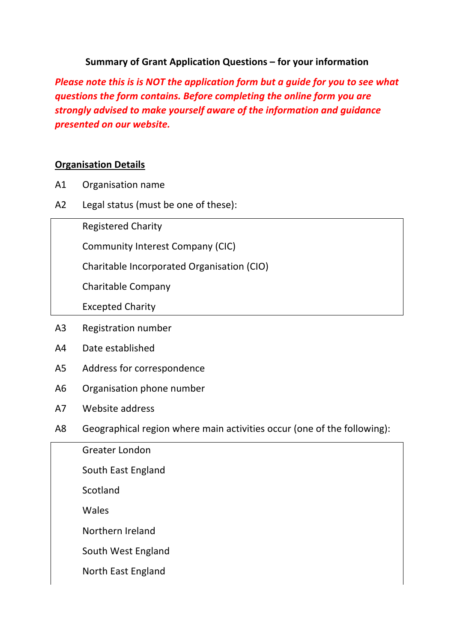### **Summary of Grant Application Questions – for your information**

*Please note this is is NOT the application form but a guide for you to see what questions the form contains. Before completing the online form you are strongly advised to make yourself aware of the information and guidance presented on our website.*

#### **Organisation Details**

- A1 Organisation name
- A2 Legal status (must be one of these):

Registered Charity

Community Interest Company (CIC)

Charitable Incorporated Organisation (CIO)

Charitable Company

Excepted Charity

- A3 Registration number
- A4 Date established
- A5 Address for correspondence
- A6 Organisation phone number
- A7 Website address
- A8 Geographical region where main activities occur (one of the following):

| Greater London     |
|--------------------|
| South East England |
| Scotland           |
| Wales              |
| Northern Ireland   |
| South West England |
| North East England |
|                    |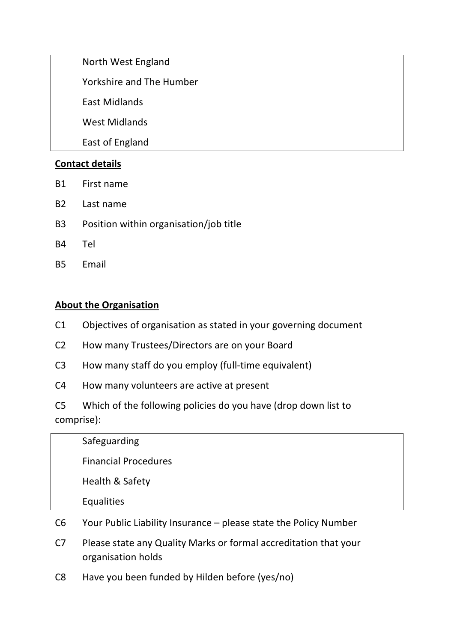North West England Yorkshire and The Humber East Midlands West Midlands East of England

# **Contact details**

- B1 First name
- B2 Last name
- B3 Position within organisation/job title
- B4 Tel
- B5 Email

#### **About the Organisation**

- C1 Objectives of organisation as stated in your governing document
- C2 How many Trustees/Directors are on your Board
- C3 How many staff do you employ (full-time equivalent)
- C4 How many volunteers are active at present
- C5 Which of the following policies do you have (drop down list to comprise):

| Safeguarding                |
|-----------------------------|
|                             |
| <b>Financial Procedures</b> |
| Health & Safety             |
| Equalities                  |

- C6 Your Public Liability Insurance please state the Policy Number
- C7 Please state any Quality Marks or formal accreditation that your organisation holds
- C8 Have you been funded by Hilden before (yes/no)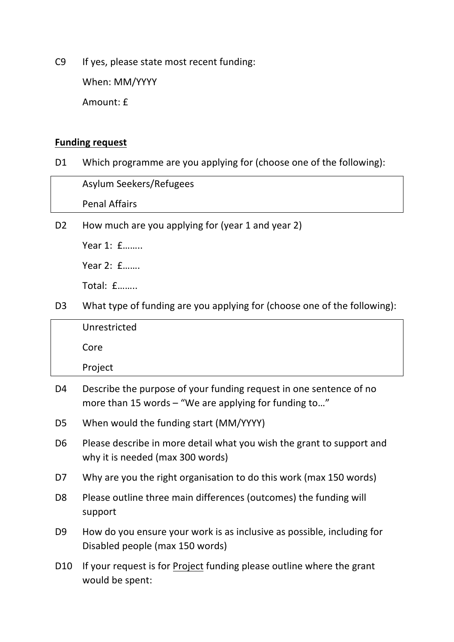C9 If yes, please state most recent funding:

When: MM/YYYY

Amount: £

#### **Funding request**

D1 Which programme are you applying for (choose one of the following):

| Asylum Seekers/Refugees |
|-------------------------|
| <b>Penal Affairs</b>    |

D2 How much are you applying for (year 1 and year 2)

Year 1: £……..

Year 2: £…….

Total: £……..

D3 What type of funding are you applying for (choose one of the following):

| Unrestricted |
|--------------|
| Core         |
| Project      |

- D4 Describe the purpose of your funding request in one sentence of no more than 15 words – "We are applying for funding to..."
- D5 When would the funding start (MM/YYYY)
- D6 Please describe in more detail what you wish the grant to support and why it is needed (max 300 words)
- D7 Why are you the right organisation to do this work (max 150 words)
- D8 Please outline three main differences (outcomes) the funding will support
- D9 How do you ensure your work is as inclusive as possible, including for Disabled people (max 150 words)
- D10 If your request is for Project funding please outline where the grant would be spent: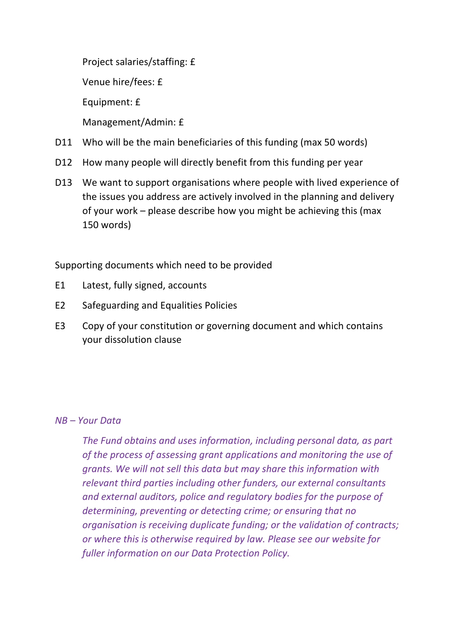Project salaries/staffing: £

Venue hire/fees: £

Equipment: £

Management/Admin: £

- D11 Who will be the main beneficiaries of this funding (max 50 words)
- D12 How many people will directly benefit from this funding per year
- D13 We want to support organisations where people with lived experience of the issues you address are actively involved in the planning and delivery of your work – please describe how you might be achieving this (max 150 words)

Supporting documents which need to be provided

- E1 Latest, fully signed, accounts
- E2 Safeguarding and Equalities Policies
- E3 Copy of your constitution or governing document and which contains your dissolution clause

## *NB – Your Data*

*The Fund obtains and uses information, including personal data, as part of the process of assessing grant applications and monitoring the use of grants. We will not sell this data but may share this information with relevant third parties including other funders, our external consultants and external auditors, police and regulatory bodies for the purpose of determining, preventing or detecting crime; or ensuring that no organisation is receiving duplicate funding; or the validation of contracts; or where this is otherwise required by law. Please see our website for fuller information on our Data Protection Policy.*